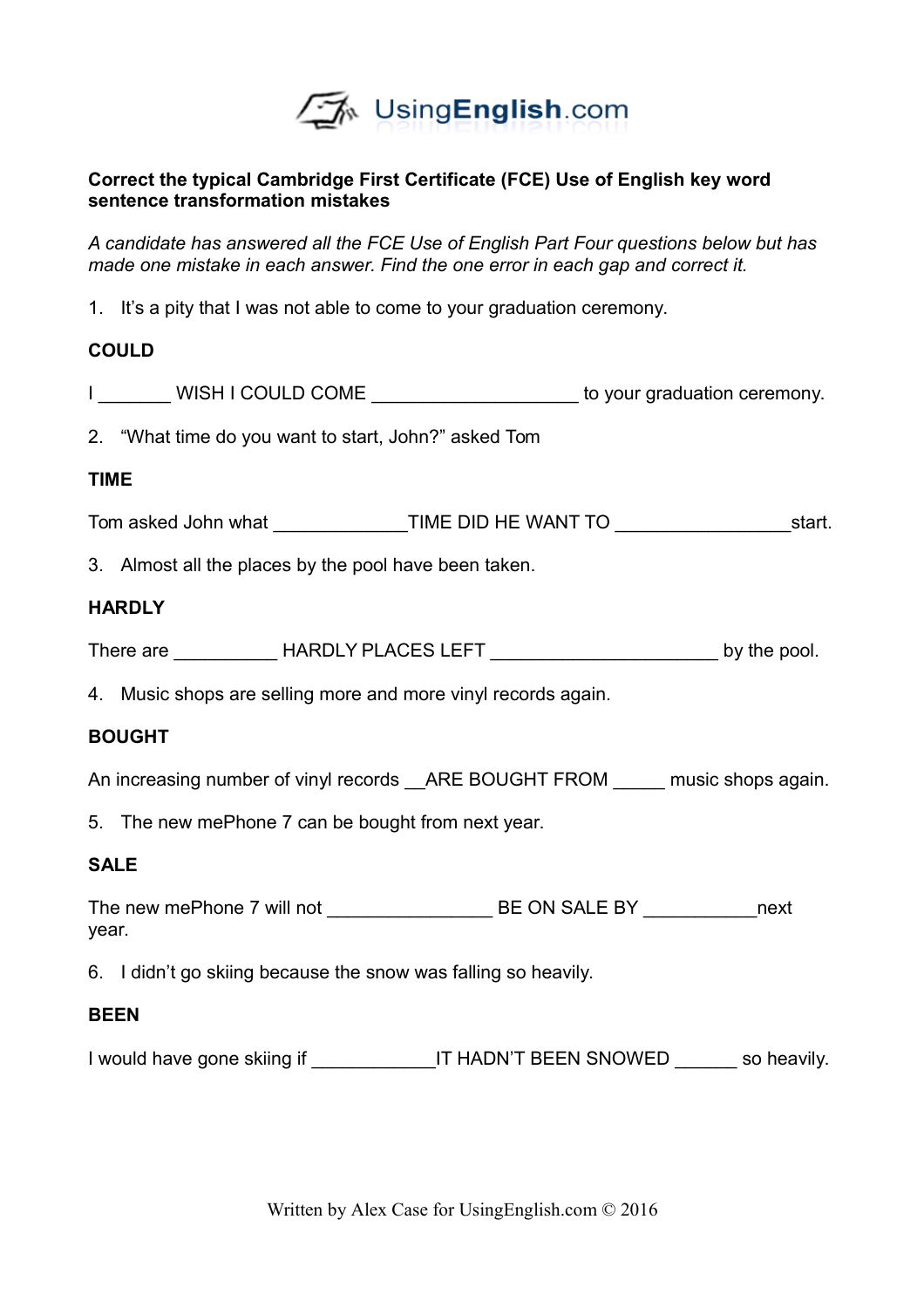

### **Correct the typical Cambridge First Certificate (FCE) Use of English key word sentence transformation mistakes**

*A candidate has answered all the FCE Use of English Part Four questions below but has made one mistake in each answer. Find the one error in each gap and correct it.* 

1. It's a pity that I was not able to come to your graduation ceremony.

## **COULD**

|             | I ________ WISH I COULD COME _____________________ to your graduation ceremony.        |  |  |
|-------------|----------------------------------------------------------------------------------------|--|--|
|             | 2. "What time do you want to start, John?" asked Tom                                   |  |  |
| <b>TIME</b> |                                                                                        |  |  |
|             | Tom asked John what _________________TIME DID HE WANT TO _______________________start. |  |  |
|             | 3. Almost all the places by the pool have been taken.                                  |  |  |
|             | <b>HARDLY</b>                                                                          |  |  |
|             |                                                                                        |  |  |
|             | 4. Music shops are selling more and more vinyl records again.                          |  |  |
|             | <b>BOUGHT</b>                                                                          |  |  |
|             | An increasing number of vinyl records __ARE BOUGHT FROM ______ music shops again.      |  |  |
|             | 5. The new mePhone 7 can be bought from next year.                                     |  |  |
|             | <b>SALE</b>                                                                            |  |  |
| year.       |                                                                                        |  |  |
|             | 6. I didn't go skiing because the snow was falling so heavily.                         |  |  |
|             | <b>BEEN</b>                                                                            |  |  |
|             | I would have gone skiing if ______________IT HADN'T BEEN SNOWED _______ so heavily.    |  |  |

Written by Alex Case for UsingEnglish.com © 2016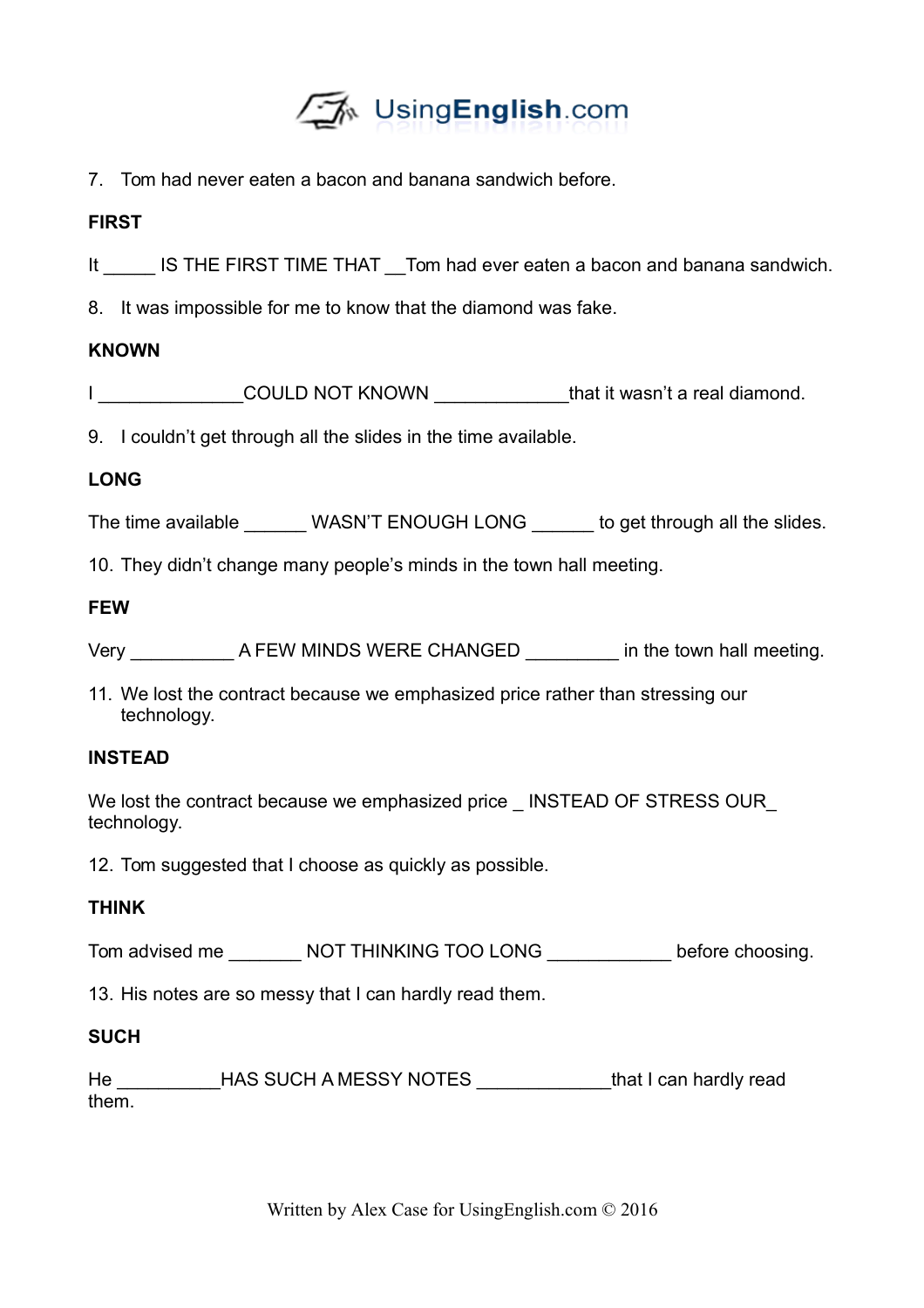

7. Tom had never eaten a bacon and banana sandwich before.

## **FIRST**

- It IS THE FIRST TIME THAT Tom had ever eaten a bacon and banana sandwich.
- 8. It was impossible for me to know that the diamond was fake.

## **KNOWN**

|  | <b>COULD NOT KNOWN</b> | that it wasn't a real diamond. |
|--|------------------------|--------------------------------|
|--|------------------------|--------------------------------|

9. I couldn't get through all the slides in the time available.

## **LONG**

The time available WASN'T ENOUGH LONG to get through all the slides.

10. They didn't change many people's minds in the town hall meeting.

### **FEW**

| Very | A FEW MINDS WERE CHANGED | in the town hall meeting. |
|------|--------------------------|---------------------------|
|      |                          |                           |

11. We lost the contract because we emphasized price rather than stressing our technology.

### **INSTEAD**

We lost the contract because we emphasized price \_ INSTEAD OF STRESS OUR technology.

12. Tom suggested that I choose as quickly as possible.

# **THINK**

Tom advised me \_\_\_\_\_\_\_ NOT THINKING TOO LONG \_\_\_\_\_\_\_\_\_\_\_\_ before choosing.

13. His notes are so messy that I can hardly read them.

# **SUCH**

He **HAS SUCH A MESSY NOTES HAS SUCH A MESSY NOTES has a state of that I can hardly read** them.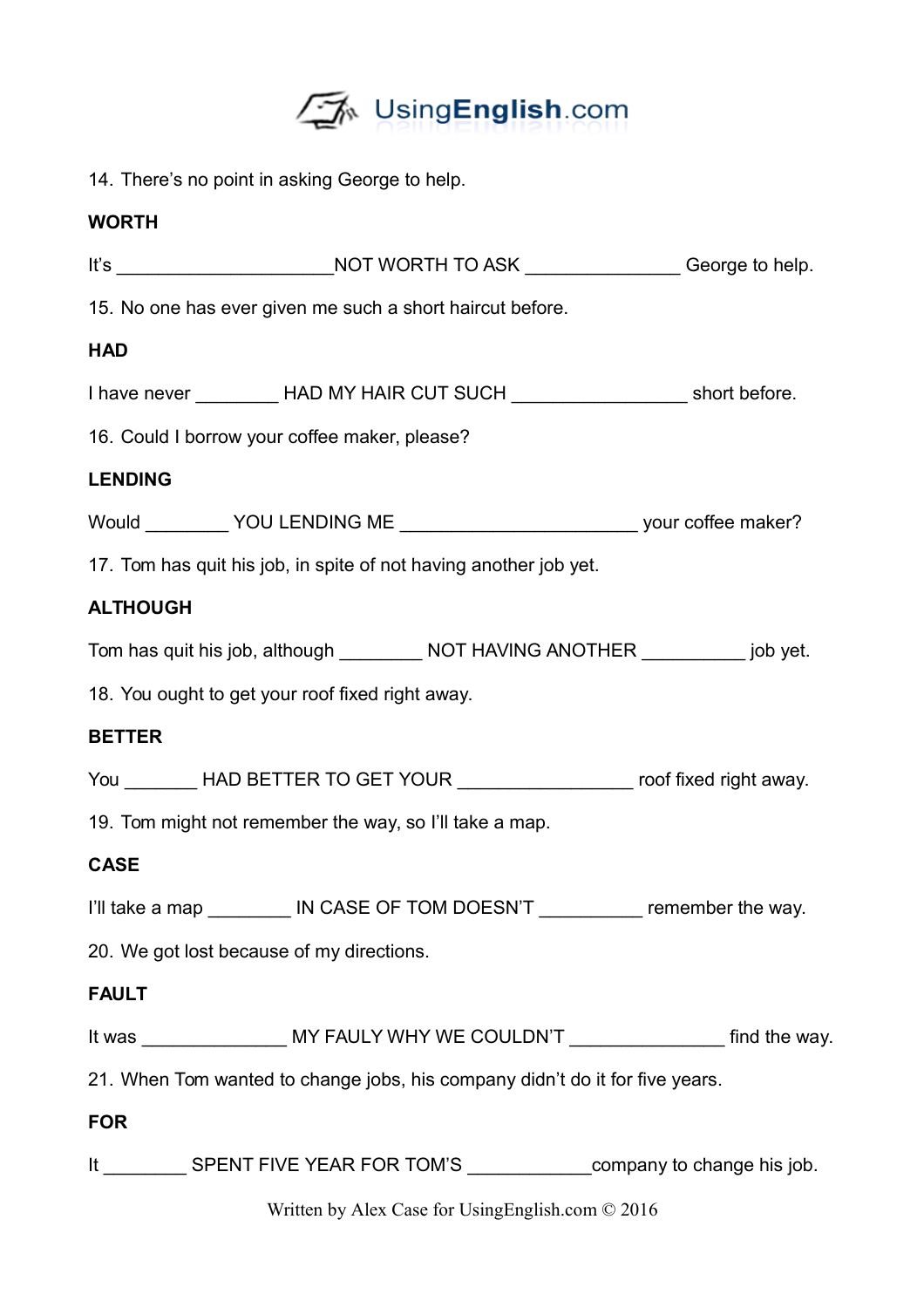

14. There's no point in asking George to help.

## **WORTH**

|                 | It's ___________________________NOT WORTH TO ASK _________________George to help.             |  |
|-----------------|-----------------------------------------------------------------------------------------------|--|
|                 | 15. No one has ever given me such a short haircut before.                                     |  |
| <b>HAD</b>      |                                                                                               |  |
|                 | I have never __________ HAD MY HAIR CUT SUCH _____________________ short before.              |  |
|                 | 16. Could I borrow your coffee maker, please?                                                 |  |
| <b>LENDING</b>  |                                                                                               |  |
|                 | Would __________ YOU LENDING ME _________________________________ your coffee maker?          |  |
|                 | 17. Tom has quit his job, in spite of not having another job yet.                             |  |
| <b>ALTHOUGH</b> |                                                                                               |  |
|                 | Tom has quit his job, although ___________ NOT HAVING ANOTHER ___________ job yet.            |  |
|                 | 18. You ought to get your roof fixed right away.                                              |  |
| <b>BETTER</b>   |                                                                                               |  |
|                 | You ________ HAD BETTER TO GET YOUR __________________ roof fixed right away.                 |  |
|                 | 19. Tom might not remember the way, so I'll take a map.                                       |  |
| <b>CASE</b>     |                                                                                               |  |
|                 | I'll take a map _________ IN CASE OF TOM DOESN'T __________ remember the way.                 |  |
|                 | 20. We got lost because of my directions.                                                     |  |
| <b>FAULT</b>    |                                                                                               |  |
|                 | It was _______________________ MY FAULY WHY WE COULDN'T _______________________ find the way. |  |
|                 | 21. When Tom wanted to change jobs, his company didn't do it for five years.                  |  |
| <b>FOR</b>      |                                                                                               |  |
|                 | It ___________ SPENT FIVE YEAR FOR TOM'S ______________company to change his job.             |  |
|                 | Written by Alex Case for UsingEnglish.com © 2016                                              |  |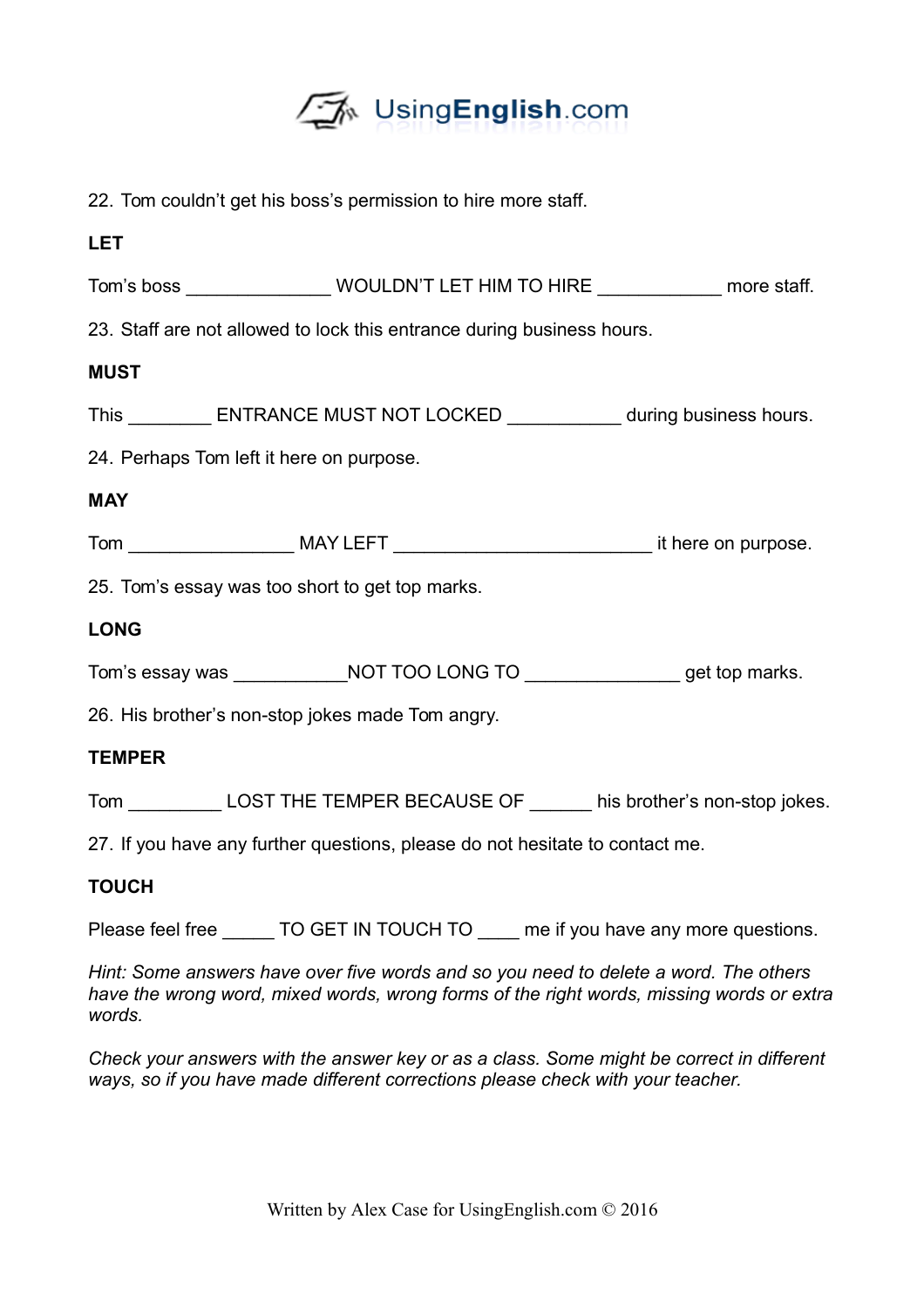

|  |  |  |  |  | 22. Tom couldn't get his boss's permission to hire more staff. |  |  |  |  |
|--|--|--|--|--|----------------------------------------------------------------|--|--|--|--|
|--|--|--|--|--|----------------------------------------------------------------|--|--|--|--|

| <b>LET</b>    |                                                                              |                                                                                      |
|---------------|------------------------------------------------------------------------------|--------------------------------------------------------------------------------------|
|               |                                                                              | Tom's boss _________________WOULDN'T LET HIM TO HIRE _______________ more staff.     |
|               | 23. Staff are not allowed to lock this entrance during business hours.       |                                                                                      |
| <b>MUST</b>   |                                                                              |                                                                                      |
|               |                                                                              | This ___________ ENTRANCE MUST NOT LOCKED _____________ during business hours.       |
|               | 24. Perhaps Tom left it here on purpose.                                     |                                                                                      |
| <b>MAY</b>    |                                                                              |                                                                                      |
|               |                                                                              |                                                                                      |
|               | 25. Tom's essay was too short to get top marks.                              |                                                                                      |
| <b>LONG</b>   |                                                                              |                                                                                      |
|               |                                                                              | Tom's essay was __________________NOT TOO LONG TO __________________get top marks.   |
|               | 26. His brother's non-stop jokes made Tom angry.                             |                                                                                      |
| <b>TEMPER</b> |                                                                              |                                                                                      |
|               |                                                                              | Tom ______________ LOST THE TEMPER BECAUSE OF ________ his brother's non-stop jokes. |
|               | 27. If you have any further questions, please do not hesitate to contact me. |                                                                                      |
| <b>TOUCH</b>  |                                                                              |                                                                                      |
|               |                                                                              | Please feel free _______ TO GET IN TOUCH TO _____ me if you have any more questions. |

*Hint: Some answers have over five words and so you need to delete a word. The others have the wrong word, mixed words, wrong forms of the right words, missing words or extra words.* 

*Check your answers with the answer key or as a class. Some might be correct in different ways, so if you have made different corrections please check with your teacher.*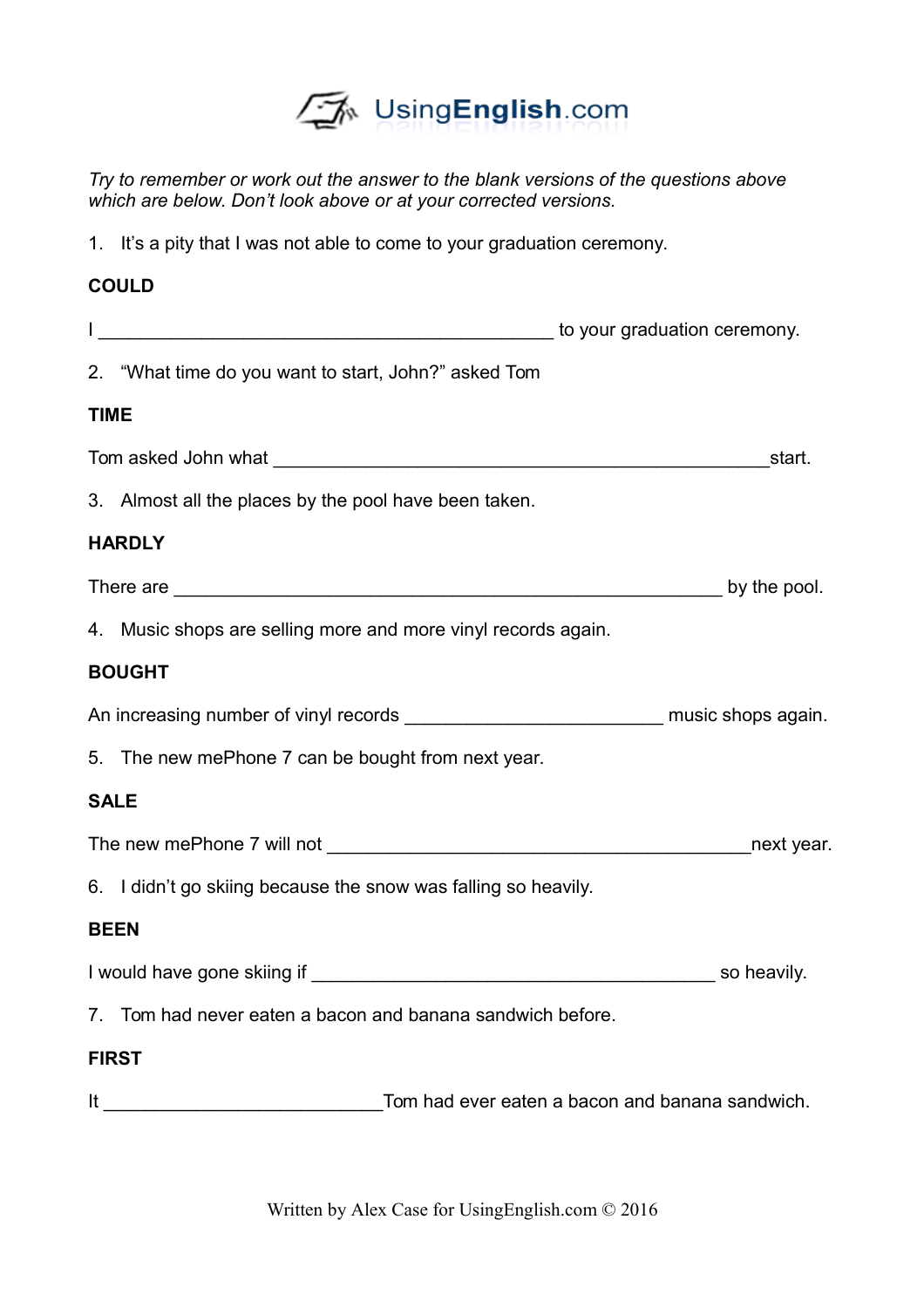

*Try to remember or work out the answer to the blank versions of the questions above which are below. Don't look above or at your corrected versions.* 

1. It's a pity that I was not able to come to your graduation ceremony.

### **COULD**

|             | 2. "What time do you want to start, John?" asked Tom                                                                                                                                                                                 |
|-------------|--------------------------------------------------------------------------------------------------------------------------------------------------------------------------------------------------------------------------------------|
| <b>TIME</b> |                                                                                                                                                                                                                                      |
|             | start.                                                                                                                                                                                                                               |
|             | 3. Almost all the places by the pool have been taken.                                                                                                                                                                                |
|             | <b>HARDLY</b>                                                                                                                                                                                                                        |
|             | There are <u>see the second of the second second second second second second second second second second second second second second second second second second second second second second second second second second second </u> |
|             | 4. Music shops are selling more and more vinyl records again.                                                                                                                                                                        |
|             | <b>BOUGHT</b>                                                                                                                                                                                                                        |
|             | An increasing number of vinyl records _________________________________ music shops again.                                                                                                                                           |
|             | 5. The new mePhone 7 can be bought from next year.                                                                                                                                                                                   |
|             | <b>SALE</b>                                                                                                                                                                                                                          |
|             |                                                                                                                                                                                                                                      |
|             | 6. I didn't go skiing because the snow was falling so heavily.                                                                                                                                                                       |
|             | <b>BEEN</b>                                                                                                                                                                                                                          |
|             |                                                                                                                                                                                                                                      |
|             | 7. Tom had never eaten a bacon and banana sandwich before.                                                                                                                                                                           |
|             | <b>FIRST</b>                                                                                                                                                                                                                         |
|             |                                                                                                                                                                                                                                      |

Written by Alex Case for UsingEnglish.com © 2016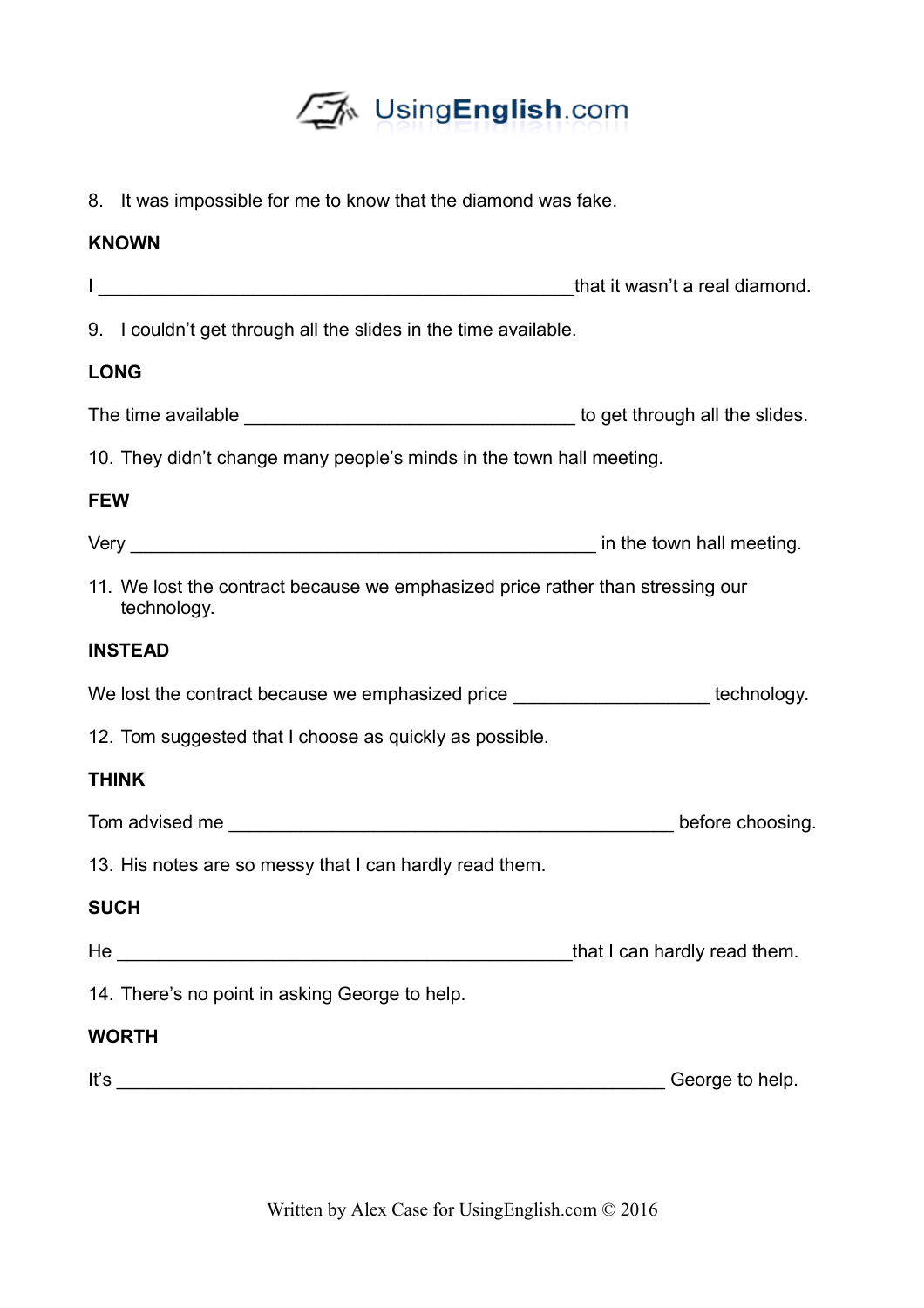

8. It was impossible for me to know that the diamond was fake.

## **KNOWN**

|                                                                                               | that it wasn't a real diamond. |
|-----------------------------------------------------------------------------------------------|--------------------------------|
| 9. I couldn't get through all the slides in the time available.                               |                                |
| <b>LONG</b>                                                                                   |                                |
|                                                                                               |                                |
| 10. They didn't change many people's minds in the town hall meeting.                          |                                |
| <b>FEW</b>                                                                                    |                                |
|                                                                                               |                                |
| 11. We lost the contract because we emphasized price rather than stressing our<br>technology. |                                |
| <b>INSTEAD</b>                                                                                |                                |
| We lost the contract because we emphasized price ______________________technology.            |                                |
| 12. Tom suggested that I choose as quickly as possible.                                       |                                |
| <b>THINK</b>                                                                                  |                                |
|                                                                                               |                                |
| 13. His notes are so messy that I can hardly read them.                                       |                                |
| <b>SUCH</b>                                                                                   |                                |
|                                                                                               | that I can hardly read them.   |
| 14. There's no point in asking George to help.                                                |                                |
| <b>WORTH</b>                                                                                  |                                |
| It's                                                                                          | George to help.                |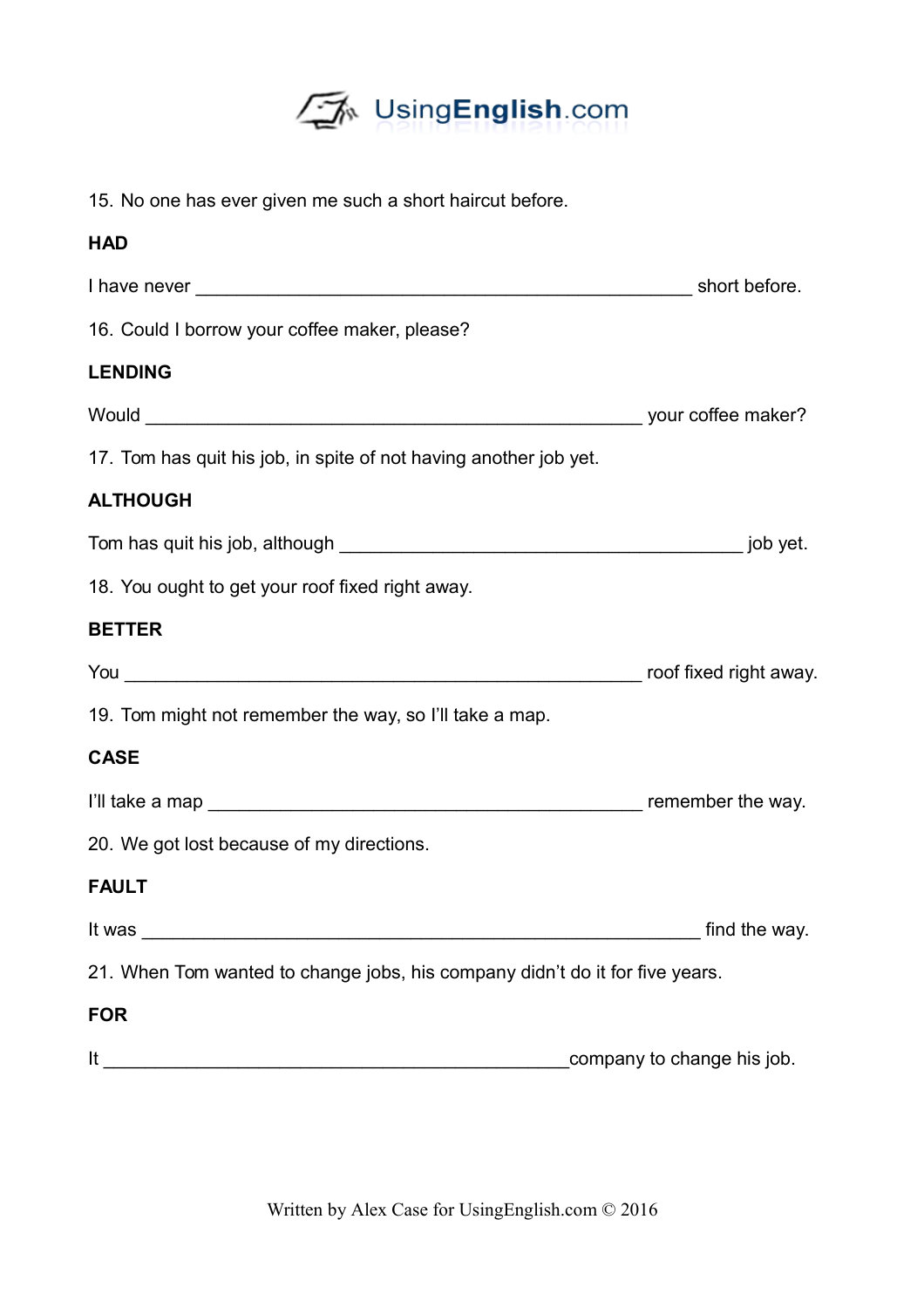

15. No one has ever given me such a short haircut before.

| <b>HAD</b>                                                                   |                            |
|------------------------------------------------------------------------------|----------------------------|
|                                                                              |                            |
| 16. Could I borrow your coffee maker, please?                                |                            |
| <b>LENDING</b>                                                               |                            |
|                                                                              |                            |
| 17. Tom has quit his job, in spite of not having another job yet.            |                            |
| <b>ALTHOUGH</b>                                                              |                            |
|                                                                              |                            |
| 18. You ought to get your roof fixed right away.                             |                            |
| <b>BETTER</b>                                                                |                            |
|                                                                              |                            |
| 19. Tom might not remember the way, so I'll take a map.                      |                            |
| <b>CASE</b>                                                                  |                            |
|                                                                              |                            |
| 20. We got lost because of my directions.                                    |                            |
| <b>FAULT</b>                                                                 |                            |
| It was                                                                       | find the way.              |
| 21. When Tom wanted to change jobs, his company didn't do it for five years. |                            |
| <b>FOR</b>                                                                   |                            |
| It $\overline{\phantom{a}}$                                                  | company to change his job. |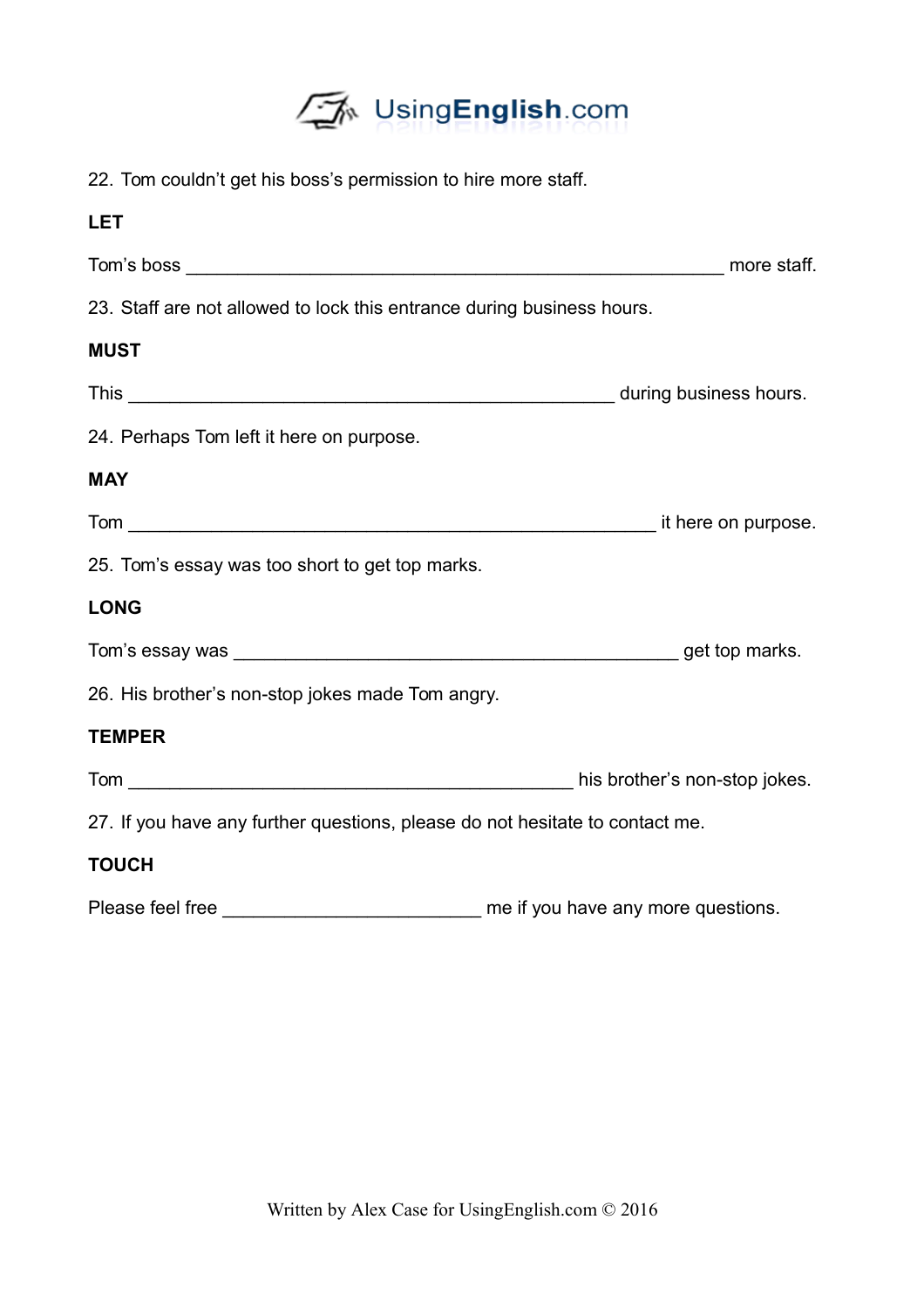

| 22. Tom couldn't get his boss's permission to hire more staff.               |                                    |
|------------------------------------------------------------------------------|------------------------------------|
| <b>LET</b>                                                                   |                                    |
|                                                                              |                                    |
| 23. Staff are not allowed to lock this entrance during business hours.       |                                    |
| <b>MUST</b>                                                                  |                                    |
|                                                                              |                                    |
| 24. Perhaps Tom left it here on purpose.                                     |                                    |
| <b>MAY</b>                                                                   |                                    |
|                                                                              |                                    |
| 25. Tom's essay was too short to get top marks.                              |                                    |
| <b>LONG</b>                                                                  |                                    |
|                                                                              |                                    |
| 26. His brother's non-stop jokes made Tom angry.                             |                                    |
| <b>TEMPER</b>                                                                |                                    |
|                                                                              |                                    |
| 27. If you have any further questions, please do not hesitate to contact me. |                                    |
| <b>TOUCH</b>                                                                 |                                    |
| Please feel free                                                             | me if you have any more questions. |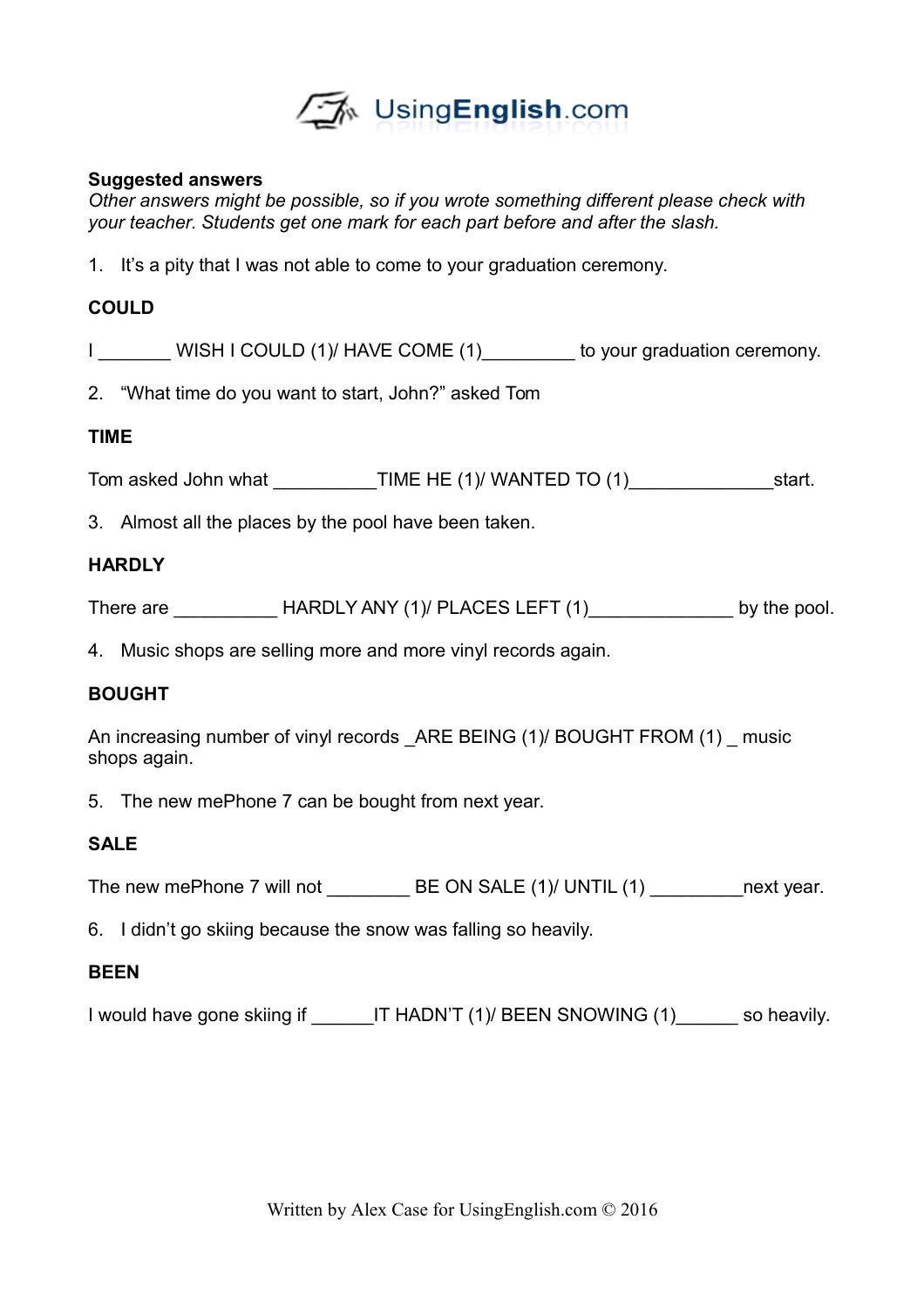

#### **Suggested answers**

*Other answers might be possible, so if you wrote something different please check with your teacher. Students get one mark for each part before and after the slash.* 

1. It's a pity that I was not able to come to your graduation ceremony.

#### **COULD**

I WISH I COULD (1)/ HAVE COME (1) to your graduation ceremony.

2. "What time do you want to start, John?" asked Tom

#### **TIME**

Tom asked John what \_\_\_\_\_\_\_\_\_\_\_\_\_\_\_\_\_\_TIME HE (1)/ WANTED TO (1)\_\_\_\_\_\_\_\_\_\_\_\_\_\_\_\_\_\_\_\_\_\_\_start.

3. Almost all the places by the pool have been taken.

#### **HARDLY**

There are \_\_\_\_\_\_\_\_\_\_\_\_\_\_HARDLY ANY (1)/ PLACES LEFT (1)\_\_\_\_\_\_\_\_\_\_\_\_\_\_\_\_\_\_\_\_by the pool.

4. Music shops are selling more and more vinyl records again.

#### **BOUGHT**

An increasing number of vinyl records ARE BEING (1)/ BOUGHT FROM (1) music shops again.

5. The new mePhone 7 can be bought from next year.

#### **SALE**

The new mePhone 7 will not **BE ON SALE (1)/ UNTIL (1)** next year.

6. I didn't go skiing because the snow was falling so heavily.

#### **BEEN**

I would have gone skiing if THADN'T (1)/ BEEN SNOWING (1) so heavily.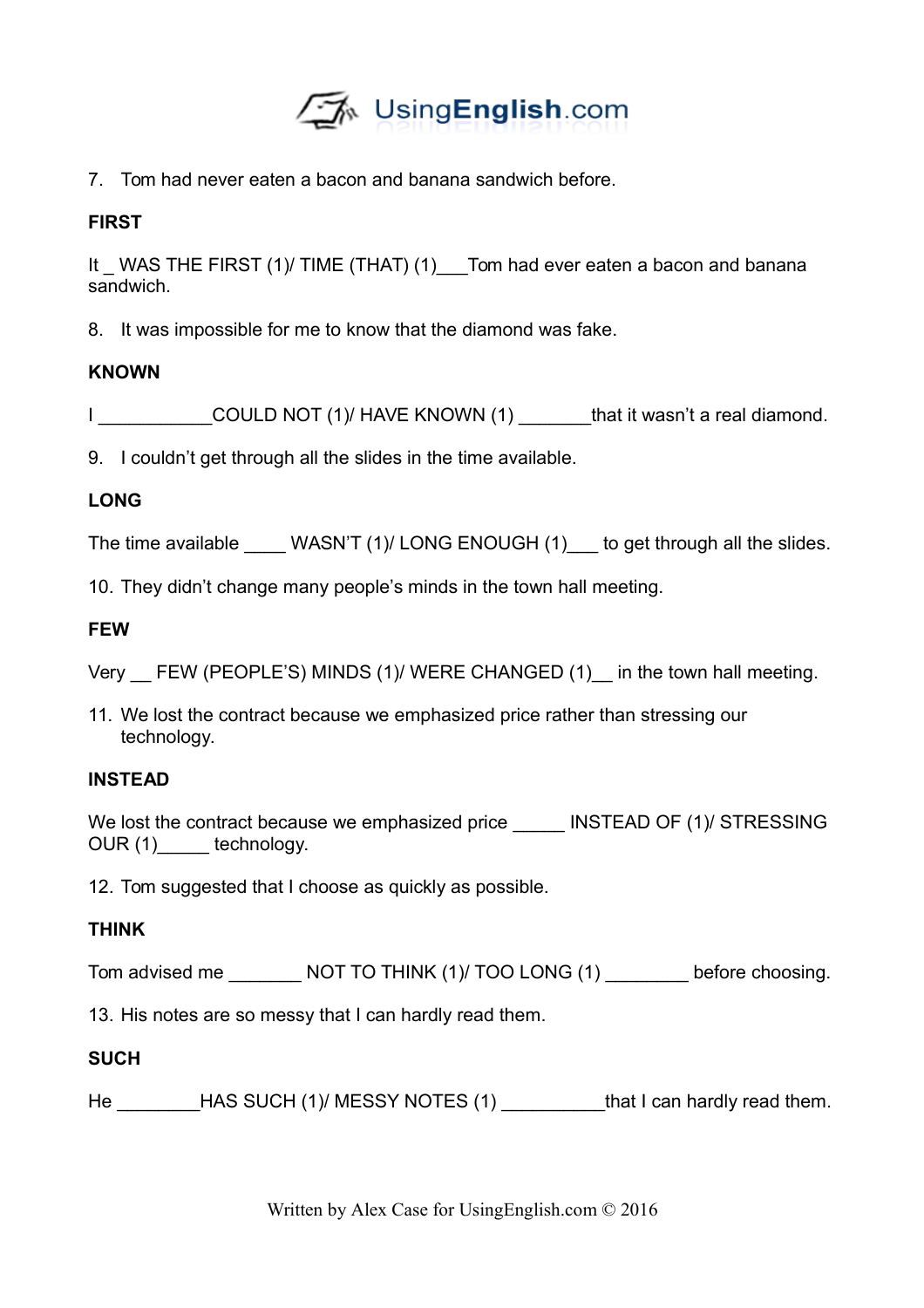

7. Tom had never eaten a bacon and banana sandwich before.

## **FIRST**

It WAS THE FIRST (1)/ TIME (THAT) (1) Tom had ever eaten a bacon and banana sandwich.

8. It was impossible for me to know that the diamond was fake.

## **KNOWN**

I COULD NOT (1)/ HAVE KNOWN (1) that it wasn't a real diamond.

9. I couldn't get through all the slides in the time available.

## **LONG**

The time available WASN'T (1)/ LONG ENOUGH (1) to get through all the slides.

10. They didn't change many people's minds in the town hall meeting.

## **FEW**

Very FEW (PEOPLE'S) MINDS (1)/ WERE CHANGED (1) in the town hall meeting.

11. We lost the contract because we emphasized price rather than stressing our technology.

### **INSTEAD**

We lost the contract because we emphasized price \_\_\_\_\_\_ INSTEAD OF (1)/ STRESSING OUR (1) technology.

12. Tom suggested that I choose as quickly as possible.

### **THINK**

Tom advised me \_\_\_\_\_\_\_\_ NOT TO THINK (1)/ TOO LONG (1) \_\_\_\_\_\_\_\_ before choosing.

13. His notes are so messy that I can hardly read them.

### **SUCH**

He \_\_\_\_\_\_\_\_HAS SUCH (1)/ MESSY NOTES (1) \_\_\_\_\_\_\_\_\_\_\_that I can hardly read them.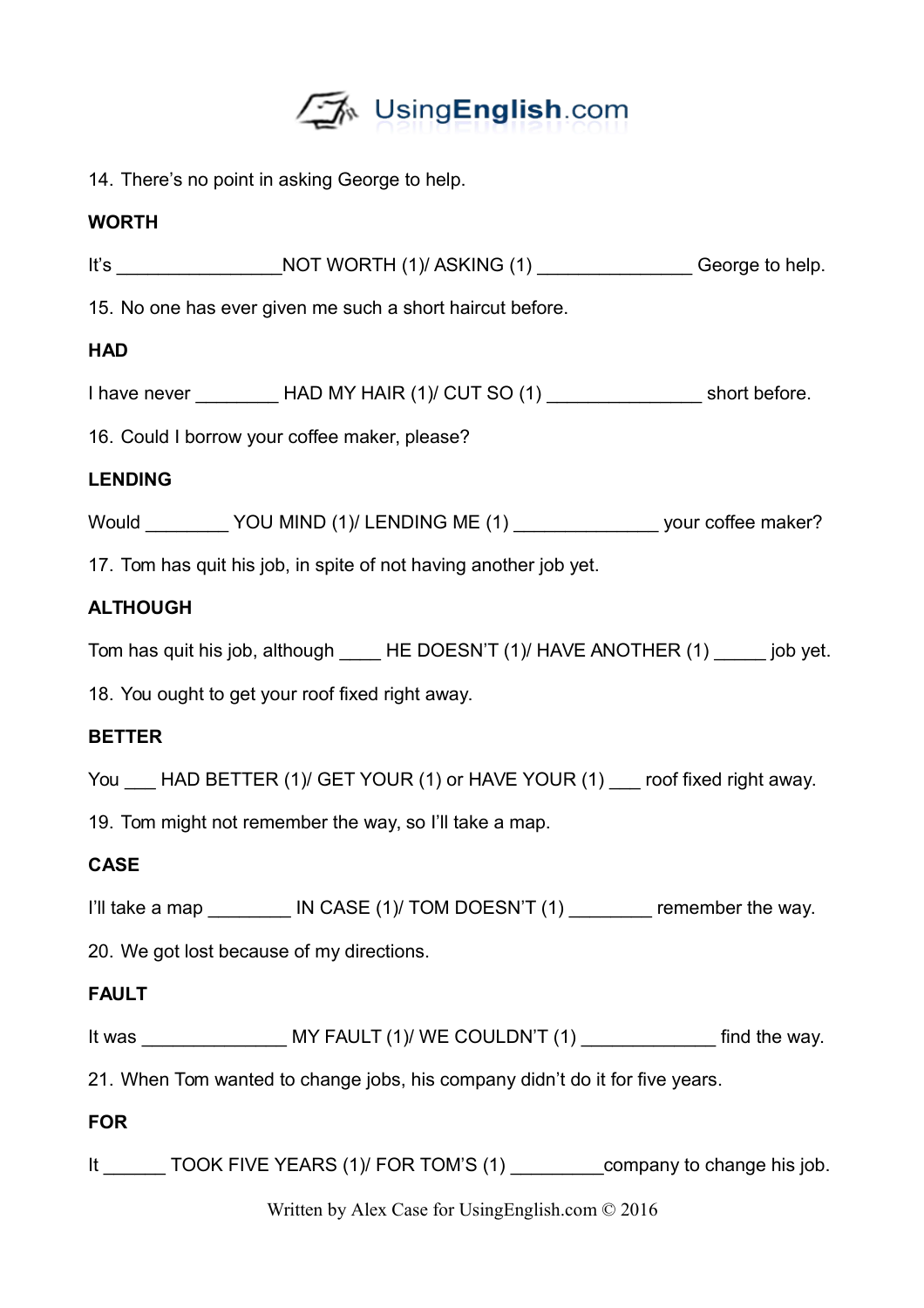

14. There's no point in asking George to help.

# **WORTH**

|                 | It's _______________________NOT WORTH (1)/ ASKING (1) _________________George to help.       |  |
|-----------------|----------------------------------------------------------------------------------------------|--|
|                 | 15. No one has ever given me such a short haircut before.                                    |  |
| <b>HAD</b>      |                                                                                              |  |
|                 | I have never ____________HAD MY HAIR (1)/ CUT SO (1) _____________________short before.      |  |
|                 | 16. Could I borrow your coffee maker, please?                                                |  |
| <b>LENDING</b>  |                                                                                              |  |
|                 | Would __________ YOU MIND (1)/ LENDING ME (1) _________________ your coffee maker?           |  |
|                 | 17. Tom has quit his job, in spite of not having another job yet.                            |  |
| <b>ALTHOUGH</b> |                                                                                              |  |
|                 | Tom has quit his job, although _______HE DOESN'T (1)/ HAVE ANOTHER (1) _______ job yet.      |  |
|                 | 18. You ought to get your roof fixed right away.                                             |  |
| <b>BETTER</b>   |                                                                                              |  |
|                 | You ___ HAD BETTER (1)/ GET YOUR (1) or HAVE YOUR (1) ___ roof fixed right away.             |  |
|                 | 19. Tom might not remember the way, so I'll take a map.                                      |  |
| <b>CASE</b>     |                                                                                              |  |
|                 | I'll take a map __________ IN CASE (1)/ TOM DOESN'T (1) ________ remember the way.           |  |
|                 | 20. We got lost because of my directions.                                                    |  |
| <b>FAULT</b>    |                                                                                              |  |
|                 | It was _______________________ MY FAULT (1)/ WE COULDN'T (1) _________________ find the way. |  |
|                 | 21. When Tom wanted to change jobs, his company didn't do it for five years.                 |  |
| <b>FOR</b>      |                                                                                              |  |
|                 | It ________ TOOK FIVE YEARS (1)/ FOR TOM'S (1) ___________company to change his job.         |  |

Written by Alex Case for UsingEnglish.com © 2016